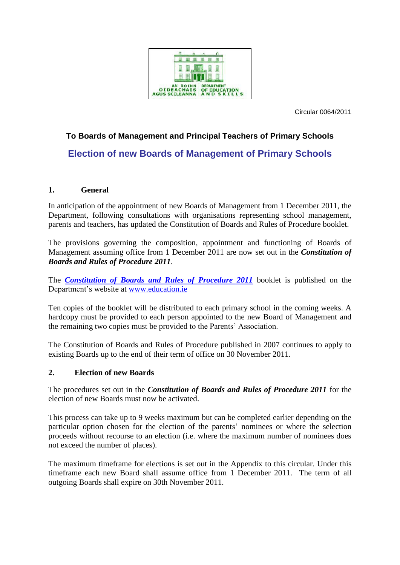

Circular 0064/2011

# **To Boards of Management and Principal Teachers of Primary Schools Election of new Boards of Management of Primary Schools**

# **1. General**

In anticipation of the appointment of new Boards of Management from 1 December 2011, the Department, following consultations with organisations representing school management, parents and teachers, has updated the Constitution of Boards and Rules of Procedure booklet.

The provisions governing the composition, appointment and functioning of Boards of Management assuming office from 1 December 2011 are now set out in the *Constitution of Boards and Rules of Procedure 2011*.

The *[Constitution of Boards and Rules of Procedure 2011](http://www.education.ie/en/Schools-Colleges/Information/Boards-of-Management/Boards-of-Management-of-National-Schools-Constitution-of-Boards-and-Rules-of-Procedure-2011.pdf)* booklet is published on the Department's website at [www.education.ie](http://www.education.ie/)

Ten copies of the booklet will be distributed to each primary school in the coming weeks. A hardcopy must be provided to each person appointed to the new Board of Management and the remaining two copies must be provided to the Parents' Association.

The Constitution of Boards and Rules of Procedure published in 2007 continues to apply to existing Boards up to the end of their term of office on 30 November 2011.

### **2. Election of new Boards**

The procedures set out in the *Constitution of Boards and Rules of Procedure 2011* for the election of new Boards must now be activated.

This process can take up to 9 weeks maximum but can be completed earlier depending on the particular option chosen for the election of the parents' nominees or where the selection proceeds without recourse to an election (i.e. where the maximum number of nominees does not exceed the number of places).

The maximum timeframe for elections is set out in the Appendix to this circular. Under this timeframe each new Board shall assume office from 1 December 2011. The term of all outgoing Boards shall expire on 30th November 2011.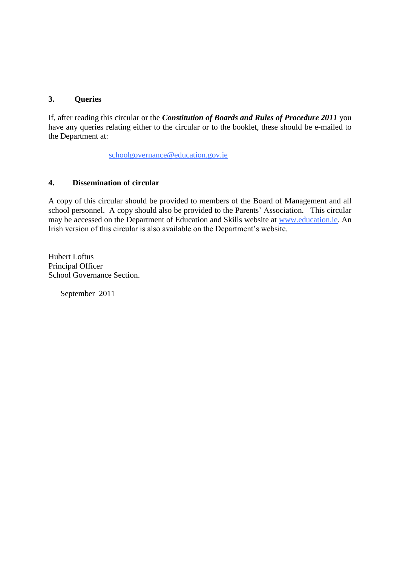# **3. Queries**

If, after reading this circular or the *Constitution of Boards and Rules of Procedure 2011* you have any queries relating either to the circular or to the booklet, these should be e-mailed to the Department at:

[schoolgovernance@education.gov.ie](mailto:schoolgovernance@education.gov.ie)

# **4. Dissemination of circular**

A copy of this circular should be provided to members of the Board of Management and all school personnel. A copy should also be provided to the Parents' Association. This circular may be accessed on the Department of Education and Skills website at [www.education.ie.](http://www.education.ie/) An Irish version of this circular is also available on the Department's website.

Hubert Loftus Principal Officer School Governance Section.

September 2011